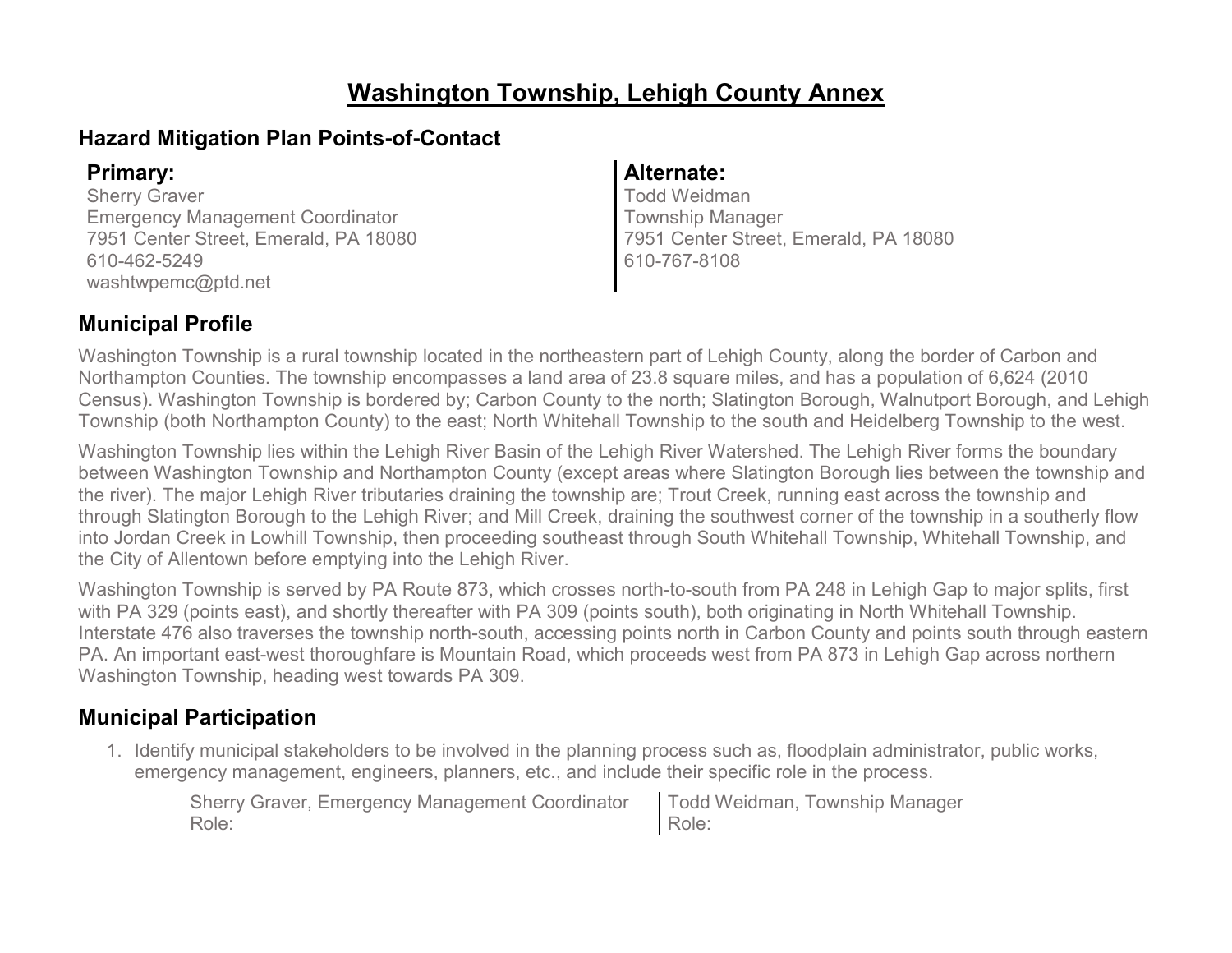# **Washington Township, Lehigh County Annex**

# **Hazard Mitigation Plan Points-of-Contact**

Sherry Graver Emergency Management Coordinator 7951 Center Street, Emerald, PA 18080 610-462-5249 washtwpemc@ptd.net

## **Primary: Alternate:**

Todd Weidman Township Manager 7951 Center Street, Emerald, PA 18080 610-767-8108

# **Municipal Profile**

Washington Township is a rural township located in the northeastern part of Lehigh County, along the border of Carbon and Northampton Counties. The township encompasses a land area of 23.8 square miles, and has a population of 6,624 (2010 Census). Washington Township is bordered by; Carbon County to the north; Slatington Borough, Walnutport Borough, and Lehigh Township (both Northampton County) to the east; North Whitehall Township to the south and Heidelberg Township to the west.

Washington Township lies within the Lehigh River Basin of the Lehigh River Watershed. The Lehigh River forms the boundary between Washington Township and Northampton County (except areas where Slatington Borough lies between the township and the river). The major Lehigh River tributaries draining the township are; Trout Creek, running east across the township and through Slatington Borough to the Lehigh River; and Mill Creek, draining the southwest corner of the township in a southerly flow into Jordan Creek in Lowhill Township, then proceeding southeast through South Whitehall Township, Whitehall Township, and the City of Allentown before emptying into the Lehigh River.

Washington Township is served by PA Route 873, which crosses north-to-south from PA 248 in Lehigh Gap to major splits, first with PA 329 (points east), and shortly thereafter with PA 309 (points south), both originating in North Whitehall Township. Interstate 476 also traverses the township north-south, accessing points north in Carbon County and points south through eastern PA. An important east-west thoroughfare is Mountain Road, which proceeds west from PA 873 in Lehigh Gap across northern Washington Township, heading west towards PA 309.

# **Municipal Participation**

1. Identify municipal stakeholders to be involved in the planning process such as, floodplain administrator, public works, emergency management, engineers, planners, etc., and include their specific role in the process.

| Sherry Graver, Emergency Management Coordinator   Todd Weidman, Township Manager |       |
|----------------------------------------------------------------------------------|-------|
| Role:                                                                            | Role: |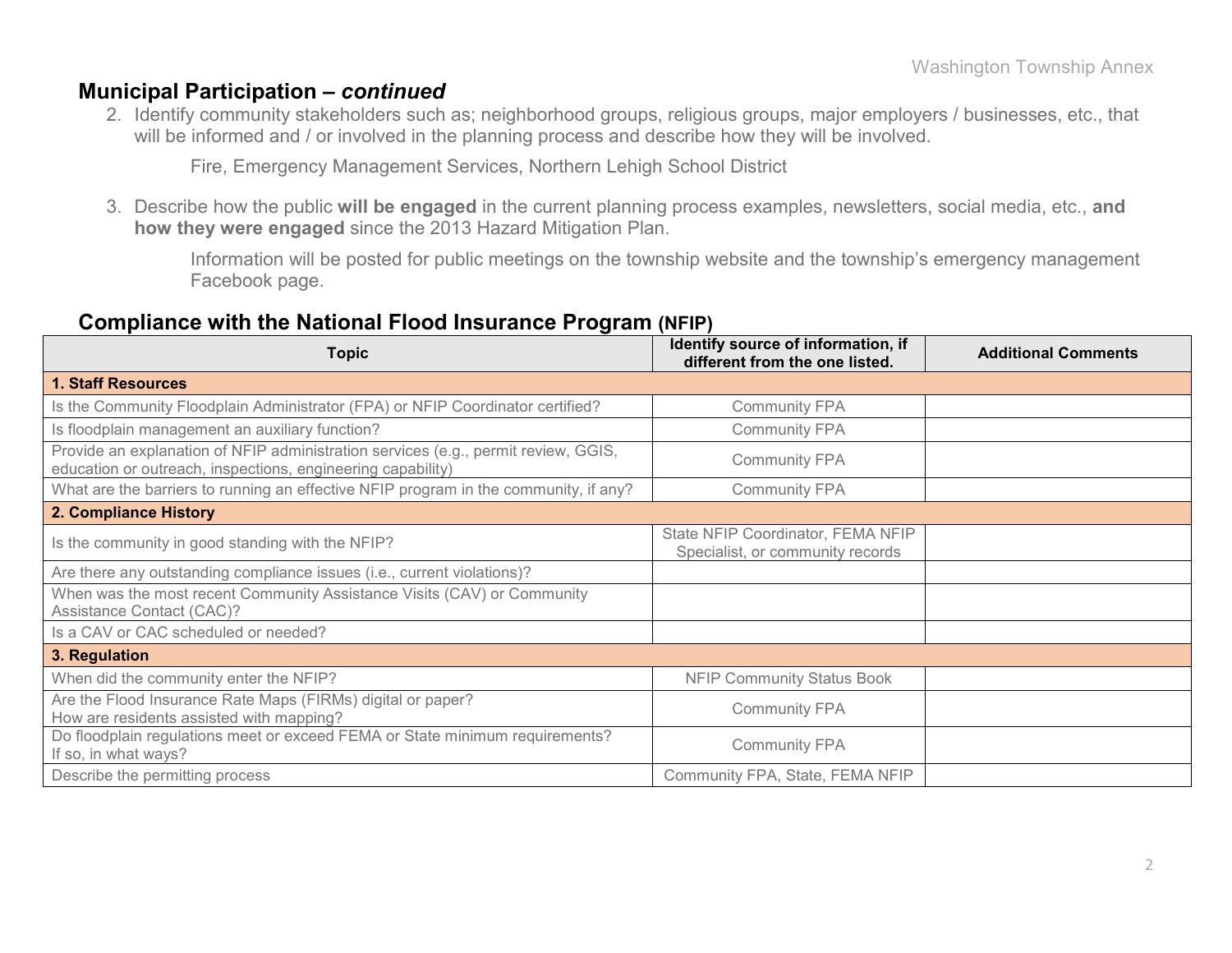### **Municipal Participation –** *continued*

2. Identify community stakeholders such as; neighborhood groups, religious groups, major employers / businesses, etc., that will be informed and / or involved in the planning process and describe how they will be involved.

Fire, Emergency Management Services, Northern Lehigh School District

3. Describe how the public **will be engaged** in the current planning process examples, newsletters, social media, etc., **and how they were engaged** since the 2013 Hazard Mitigation Plan.

Information will be posted for public meetings on the township website and the township's emergency management Facebook page.

### **Compliance with the National Flood Insurance Program (NFIP)**

| <b>Topic</b>                                                                                                                                      | Identify source of information, if<br>different from the one listed.  | <b>Additional Comments</b> |
|---------------------------------------------------------------------------------------------------------------------------------------------------|-----------------------------------------------------------------------|----------------------------|
| <b>1. Staff Resources</b>                                                                                                                         |                                                                       |                            |
| Is the Community Floodplain Administrator (FPA) or NFIP Coordinator certified?                                                                    | <b>Community FPA</b>                                                  |                            |
| Is floodplain management an auxiliary function?                                                                                                   | <b>Community FPA</b>                                                  |                            |
| Provide an explanation of NFIP administration services (e.g., permit review, GGIS,<br>education or outreach, inspections, engineering capability) | <b>Community FPA</b>                                                  |                            |
| What are the barriers to running an effective NFIP program in the community, if any?                                                              | <b>Community FPA</b>                                                  |                            |
| 2. Compliance History                                                                                                                             |                                                                       |                            |
| Is the community in good standing with the NFIP?                                                                                                  | State NFIP Coordinator, FEMA NFIP<br>Specialist, or community records |                            |
| Are there any outstanding compliance issues (i.e., current violations)?                                                                           |                                                                       |                            |
| When was the most recent Community Assistance Visits (CAV) or Community<br>Assistance Contact (CAC)?                                              |                                                                       |                            |
| Is a CAV or CAC scheduled or needed?                                                                                                              |                                                                       |                            |
| 3. Regulation                                                                                                                                     |                                                                       |                            |
| When did the community enter the NFIP?                                                                                                            | <b>NFIP Community Status Book</b>                                     |                            |
| Are the Flood Insurance Rate Maps (FIRMs) digital or paper?<br>How are residents assisted with mapping?                                           | <b>Community FPA</b>                                                  |                            |
| Do floodplain regulations meet or exceed FEMA or State minimum requirements?<br>If so, in what ways?                                              | <b>Community FPA</b>                                                  |                            |
| Describe the permitting process                                                                                                                   | Community FPA, State, FEMA NFIP                                       |                            |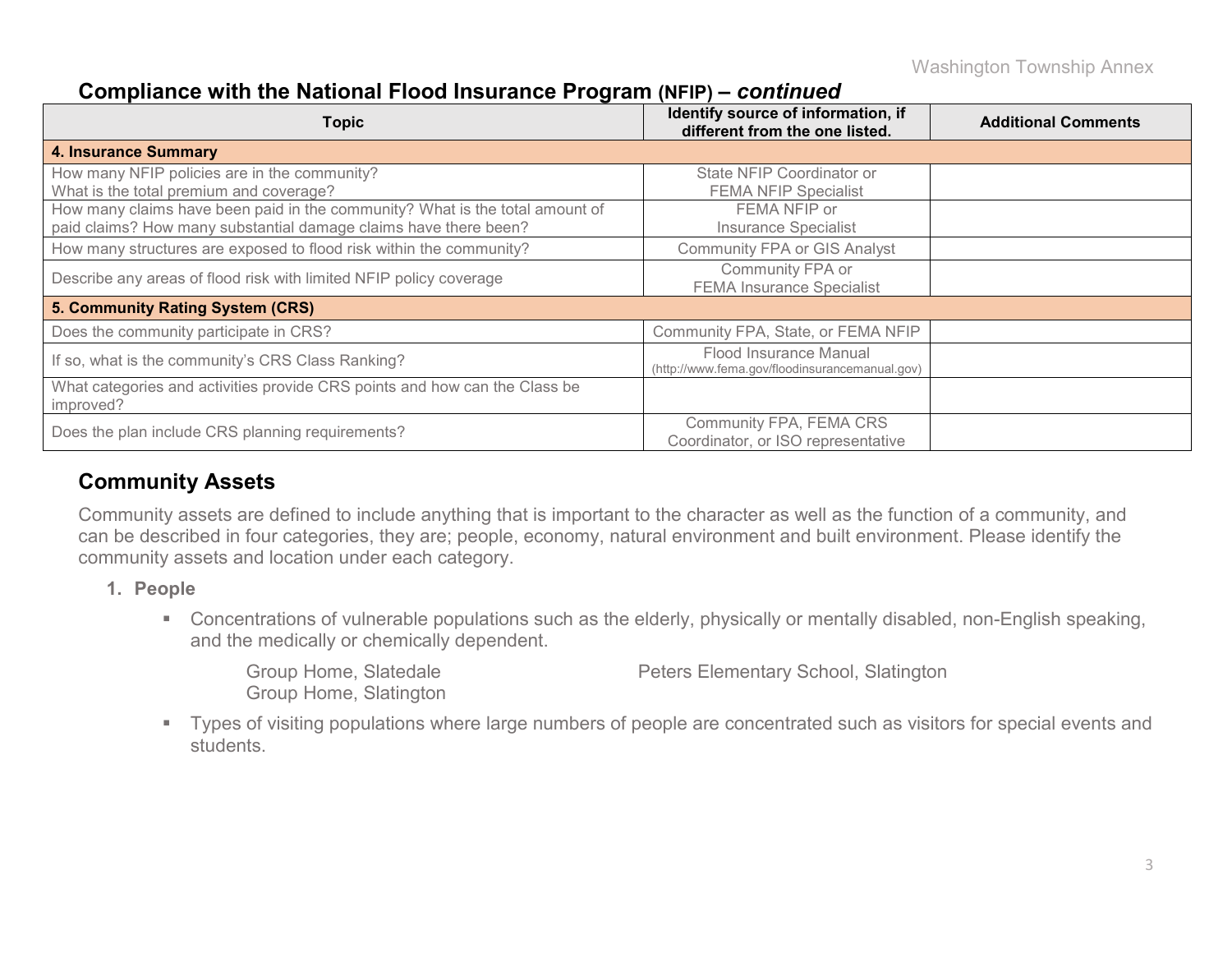Washington Township Annex

## **Compliance with the National Flood Insurance Program (NFIP) –** *continued*

| <b>Topic</b>                                                                                                                                     | Identify source of information, if<br>different from the one listed.     | <b>Additional Comments</b> |
|--------------------------------------------------------------------------------------------------------------------------------------------------|--------------------------------------------------------------------------|----------------------------|
| <b>4. Insurance Summary</b>                                                                                                                      |                                                                          |                            |
| How many NFIP policies are in the community?<br>What is the total premium and coverage?                                                          | State NFIP Coordinator or<br><b>FEMA NFIP Specialist</b>                 |                            |
| How many claims have been paid in the community? What is the total amount of<br>paid claims? How many substantial damage claims have there been? | FEMA NFIP or<br><b>Insurance Specialist</b>                              |                            |
| How many structures are exposed to flood risk within the community?                                                                              | <b>Community FPA or GIS Analyst</b>                                      |                            |
| Describe any areas of flood risk with limited NFIP policy coverage                                                                               | Community FPA or<br><b>FEMA Insurance Specialist</b>                     |                            |
| 5. Community Rating System (CRS)                                                                                                                 |                                                                          |                            |
| Does the community participate in CRS?                                                                                                           | Community FPA, State, or FEMA NFIP                                       |                            |
| If so, what is the community's CRS Class Ranking?                                                                                                | Flood Insurance Manual<br>(http://www.fema.gov/floodinsurancemanual.gov) |                            |
| What categories and activities provide CRS points and how can the Class be<br>improved?                                                          |                                                                          |                            |
| Does the plan include CRS planning requirements?                                                                                                 | Community FPA, FEMA CRS<br>Coordinator, or ISO representative            |                            |

# **Community Assets**

Community assets are defined to include anything that is important to the character as well as the function of a community, and can be described in four categories, they are; people, economy, natural environment and built environment. Please identify the community assets and location under each category.

- **1. People**
	- Concentrations of vulnerable populations such as the elderly, physically or mentally disabled, non-English speaking, and the medically or chemically dependent.

|  | Group Home, Slatedale         |
|--|-------------------------------|
|  | <b>Group Home, Slatington</b> |

Peters Elementary School, Slatington

 Types of visiting populations where large numbers of people are concentrated such as visitors for special events and students.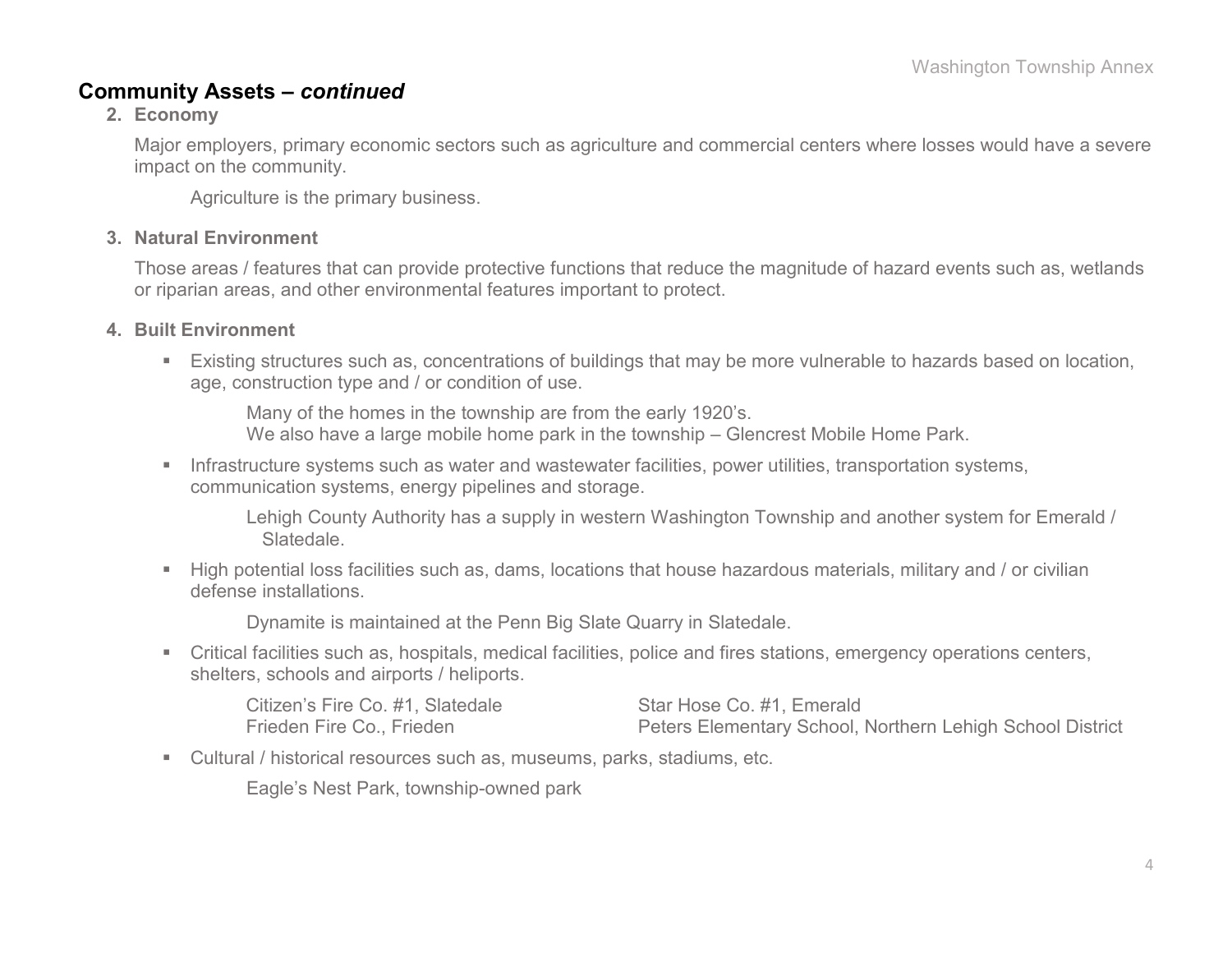### **Community Assets –** *continued*

**2. Economy**

Major employers, primary economic sectors such as agriculture and commercial centers where losses would have a severe impact on the community.

Agriculture is the primary business.

### **3. Natural Environment**

Those areas / features that can provide protective functions that reduce the magnitude of hazard events such as, wetlands or riparian areas, and other environmental features important to protect.

### **4. Built Environment**

 Existing structures such as, concentrations of buildings that may be more vulnerable to hazards based on location, age, construction type and / or condition of use.

Many of the homes in the township are from the early 1920's. We also have a large mobile home park in the township – Glencrest Mobile Home Park.

**Infrastructure systems such as water and wastewater facilities, power utilities, transportation systems,** communication systems, energy pipelines and storage.

Lehigh County Authority has a supply in western Washington Township and another system for Emerald / Slatedale.

 High potential loss facilities such as, dams, locations that house hazardous materials, military and / or civilian defense installations.

Dynamite is maintained at the Penn Big Slate Quarry in Slatedale.

 Critical facilities such as, hospitals, medical facilities, police and fires stations, emergency operations centers, shelters, schools and airports / heliports.

| Citizen's Fire Co. #1, Slatedale | Star Hose Co. #1, Emerald                                 |
|----------------------------------|-----------------------------------------------------------|
| Frieden Fire Co., Frieden        | Peters Elementary School, Northern Lehigh School District |

Cultural / historical resources such as, museums, parks, stadiums, etc.

Eagle's Nest Park, township-owned park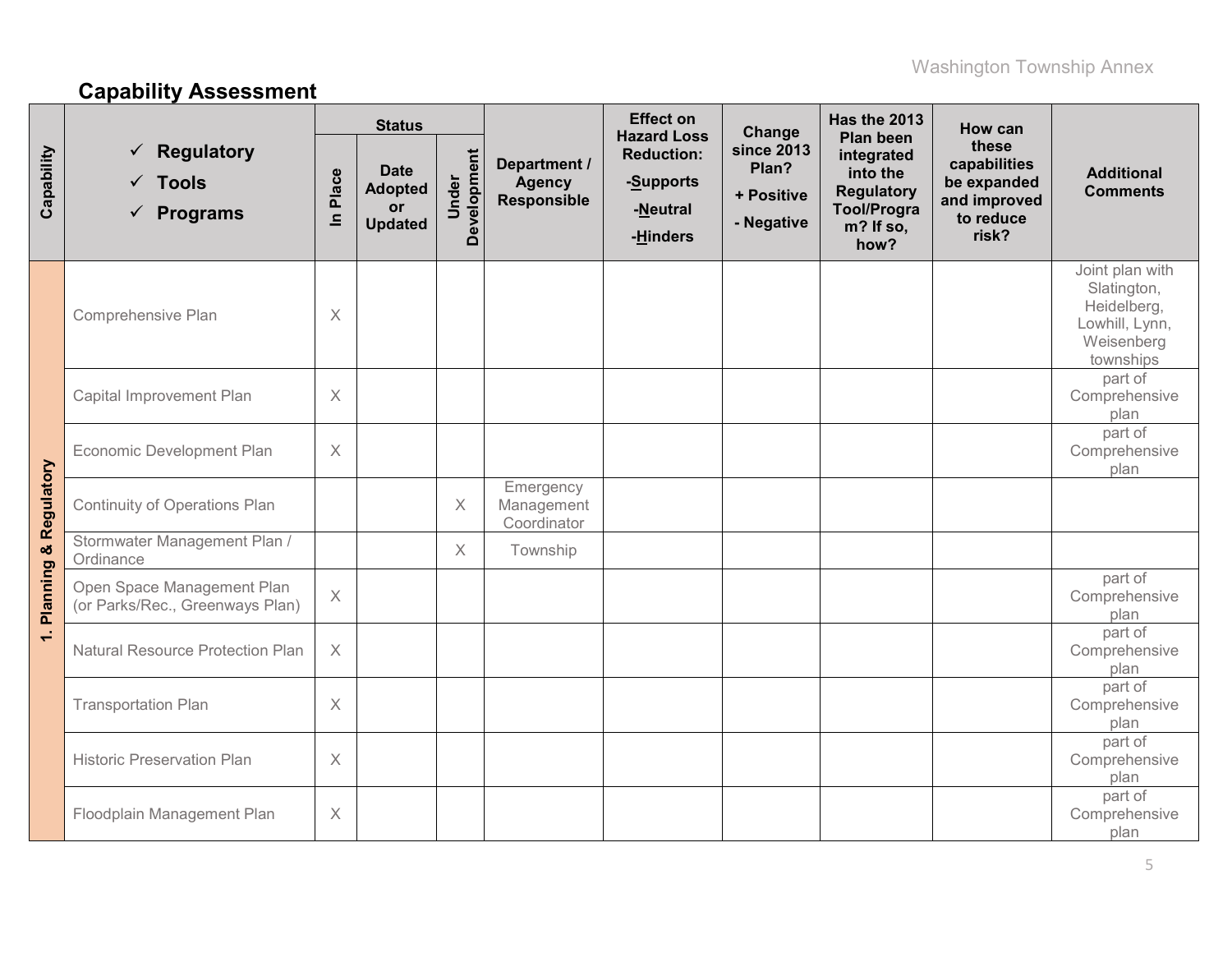# **Capability Assessment**

|                                  |                                                                  | <b>Status</b>        |                                                              |                      |                                              | <b>Effect on</b><br><b>Hazard Loss</b>                 | Change                                          | <b>Has the 2013</b><br><b>Plan been</b>                                                | How can                                                                    |                                                                                            |
|----------------------------------|------------------------------------------------------------------|----------------------|--------------------------------------------------------------|----------------------|----------------------------------------------|--------------------------------------------------------|-------------------------------------------------|----------------------------------------------------------------------------------------|----------------------------------------------------------------------------|--------------------------------------------------------------------------------------------|
| Capability                       | <b>Regulatory</b><br>$\checkmark$ Tools<br>$\checkmark$ Programs | Place<br>$\subseteq$ | <b>Date</b><br><b>Adopted</b><br><b>or</b><br><b>Updated</b> | Development<br>Under | Department /<br><b>Agency</b><br>Responsible | <b>Reduction:</b><br>-Supports<br>-Neutral<br>-Hinders | since 2013<br>Plan?<br>+ Positive<br>- Negative | integrated<br>into the<br><b>Regulatory</b><br><b>Tool/Progra</b><br>m? If so,<br>how? | these<br>capabilities<br>be expanded<br>and improved<br>to reduce<br>risk? | <b>Additional</b><br><b>Comments</b>                                                       |
|                                  | Comprehensive Plan                                               | $\times$             |                                                              |                      |                                              |                                                        |                                                 |                                                                                        |                                                                            | Joint plan with<br>Slatington,<br>Heidelberg,<br>Lowhill, Lynn,<br>Weisenberg<br>townships |
|                                  | Capital Improvement Plan                                         | $\times$             |                                                              |                      |                                              |                                                        |                                                 |                                                                                        |                                                                            | part of<br>Comprehensive<br>plan                                                           |
|                                  | Economic Development Plan                                        | $\times$             |                                                              |                      |                                              |                                                        |                                                 |                                                                                        |                                                                            | part of<br>Comprehensive<br>plan                                                           |
| <b>Planning &amp; Regulatory</b> | <b>Continuity of Operations Plan</b>                             |                      |                                                              | $\times$             | Emergency<br>Management<br>Coordinator       |                                                        |                                                 |                                                                                        |                                                                            |                                                                                            |
|                                  | Stormwater Management Plan /<br>Ordinance                        |                      |                                                              | $\times$             | Township                                     |                                                        |                                                 |                                                                                        |                                                                            |                                                                                            |
|                                  | Open Space Management Plan<br>(or Parks/Rec., Greenways Plan)    | $\mathsf X$          |                                                              |                      |                                              |                                                        |                                                 |                                                                                        |                                                                            | part of<br>Comprehensive<br>plan                                                           |
| $\div$                           | <b>Natural Resource Protection Plan</b>                          | $\times$             |                                                              |                      |                                              |                                                        |                                                 |                                                                                        |                                                                            | part of<br>Comprehensive<br>plan                                                           |
|                                  | <b>Transportation Plan</b>                                       | $\times$             |                                                              |                      |                                              |                                                        |                                                 |                                                                                        |                                                                            | part of<br>Comprehensive<br>plan                                                           |
|                                  | <b>Historic Preservation Plan</b>                                | X                    |                                                              |                      |                                              |                                                        |                                                 |                                                                                        |                                                                            | part of<br>Comprehensive<br>plan                                                           |
|                                  | Floodplain Management Plan                                       | X                    |                                                              |                      |                                              |                                                        |                                                 |                                                                                        |                                                                            | part of<br>Comprehensive<br>plan                                                           |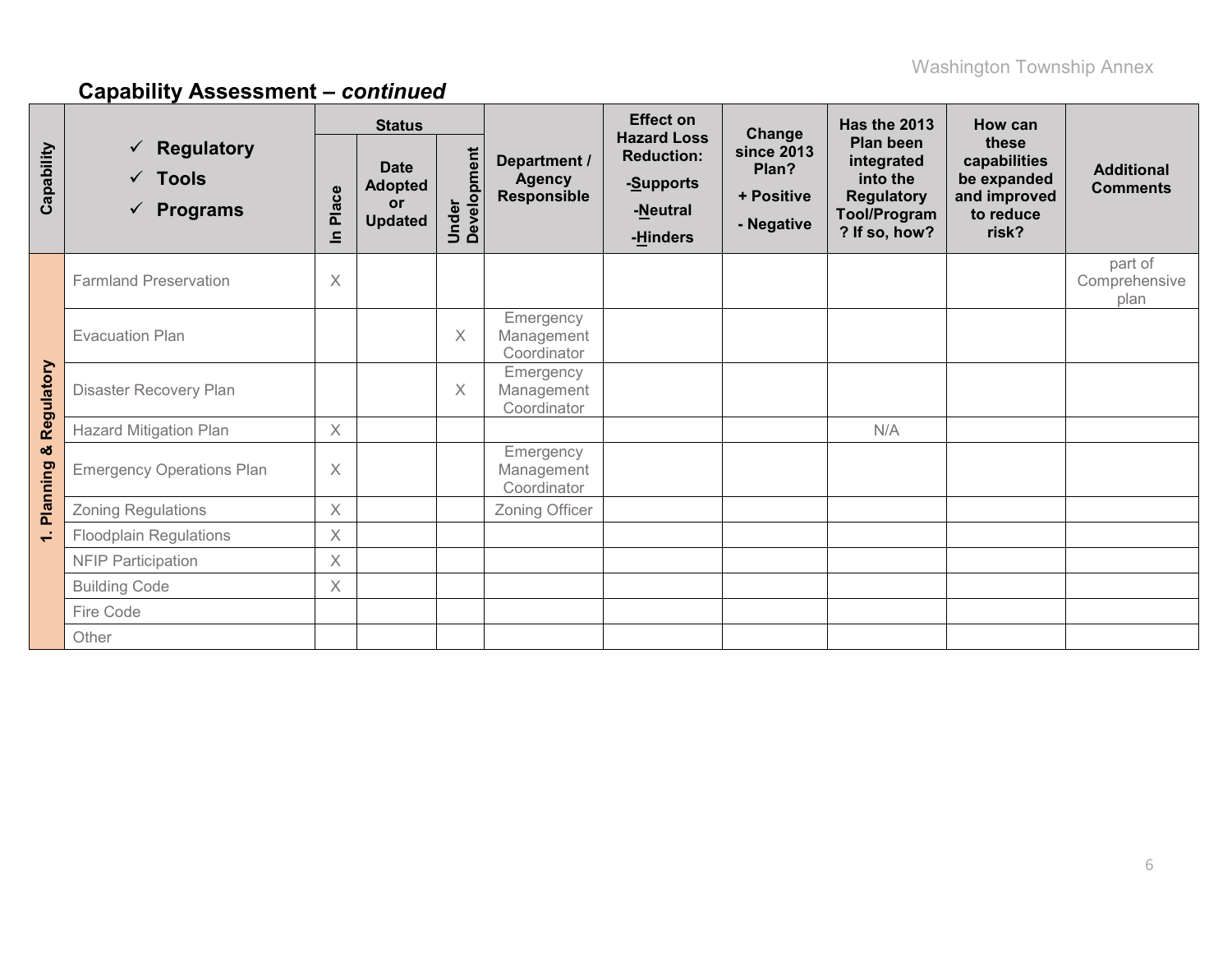|               |                                                                                  | <b>Status</b> |                                                       |                      |                                              | <b>Effect on</b>                                                             | Change                                                 | Has the 2013                                                                                     | How can                                                                    |                                      |
|---------------|----------------------------------------------------------------------------------|---------------|-------------------------------------------------------|----------------------|----------------------------------------------|------------------------------------------------------------------------------|--------------------------------------------------------|--------------------------------------------------------------------------------------------------|----------------------------------------------------------------------------|--------------------------------------|
| Capability    | <b>Regulatory</b><br>$\checkmark$<br>$\checkmark$ Tools<br>$\checkmark$ Programs | Place<br>르    | <b>Date</b><br><b>Adopted</b><br>or<br><b>Updated</b> | Under<br>Development | Department /<br><b>Agency</b><br>Responsible | <b>Hazard Loss</b><br><b>Reduction:</b><br>-Supports<br>-Neutral<br>-Hinders | <b>since 2013</b><br>Plan?<br>+ Positive<br>- Negative | Plan been<br>integrated<br>into the<br><b>Regulatory</b><br><b>Tool/Program</b><br>? If so, how? | these<br>capabilities<br>be expanded<br>and improved<br>to reduce<br>risk? | <b>Additional</b><br><b>Comments</b> |
|               | <b>Farmland Preservation</b>                                                     | $\times$      |                                                       |                      |                                              |                                                                              |                                                        |                                                                                                  |                                                                            | part of<br>Comprehensive<br>plan     |
|               | <b>Evacuation Plan</b>                                                           |               |                                                       | X                    | Emergency<br>Management<br>Coordinator       |                                                                              |                                                        |                                                                                                  |                                                                            |                                      |
| Regulatory    | Disaster Recovery Plan                                                           |               |                                                       | X                    | Emergency<br>Management<br>Coordinator       |                                                                              |                                                        |                                                                                                  |                                                                            |                                      |
|               | <b>Hazard Mitigation Plan</b>                                                    | $\times$      |                                                       |                      |                                              |                                                                              |                                                        | N/A                                                                                              |                                                                            |                                      |
| ಯ<br>Planning | <b>Emergency Operations Plan</b>                                                 | $\times$      |                                                       |                      | Emergency<br>Management<br>Coordinator       |                                                                              |                                                        |                                                                                                  |                                                                            |                                      |
|               | <b>Zoning Regulations</b>                                                        | $\times$      |                                                       |                      | Zoning Officer                               |                                                                              |                                                        |                                                                                                  |                                                                            |                                      |
| $\div$        | <b>Floodplain Regulations</b>                                                    | $\times$      |                                                       |                      |                                              |                                                                              |                                                        |                                                                                                  |                                                                            |                                      |
|               | <b>NFIP Participation</b>                                                        | X             |                                                       |                      |                                              |                                                                              |                                                        |                                                                                                  |                                                                            |                                      |
|               | <b>Building Code</b>                                                             | X             |                                                       |                      |                                              |                                                                              |                                                        |                                                                                                  |                                                                            |                                      |
|               | Fire Code                                                                        |               |                                                       |                      |                                              |                                                                              |                                                        |                                                                                                  |                                                                            |                                      |
|               | Other                                                                            |               |                                                       |                      |                                              |                                                                              |                                                        |                                                                                                  |                                                                            |                                      |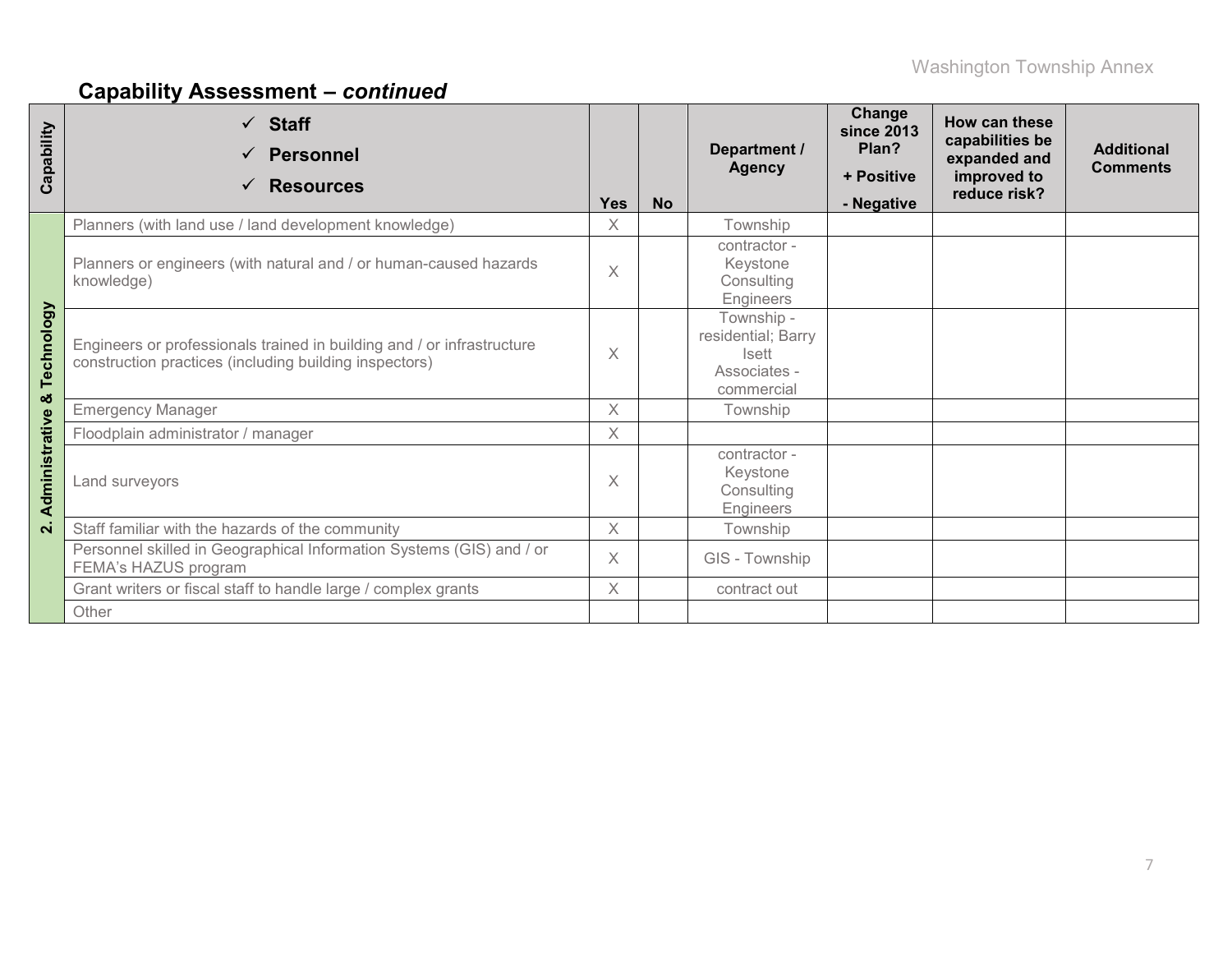| Capability         | $\checkmark$ Staff<br><b>Personnel</b><br>$\checkmark$<br><b>Resources</b>                                                       | <b>Yes</b> | <b>No</b> | Department /<br><b>Agency</b>                                                  | Change<br><b>since 2013</b><br>Plan?<br>+ Positive<br>- Negative | <b>How can these</b><br>capabilities be<br>expanded and<br>improved to<br>reduce risk? | <b>Additional</b><br><b>Comments</b> |
|--------------------|----------------------------------------------------------------------------------------------------------------------------------|------------|-----------|--------------------------------------------------------------------------------|------------------------------------------------------------------|----------------------------------------------------------------------------------------|--------------------------------------|
|                    | Planners (with land use / land development knowledge)                                                                            | $\times$   |           | Township                                                                       |                                                                  |                                                                                        |                                      |
|                    | Planners or engineers (with natural and / or human-caused hazards<br>knowledge)                                                  | $\times$   |           | contractor -<br>Keystone<br>Consulting<br>Engineers                            |                                                                  |                                                                                        |                                      |
| Technology         | Engineers or professionals trained in building and / or infrastructure<br>construction practices (including building inspectors) | X          |           | Township -<br>residential; Barry<br><b>Isett</b><br>Associates -<br>commercial |                                                                  |                                                                                        |                                      |
| ಯ                  | <b>Emergency Manager</b>                                                                                                         | $\times$   |           | Township                                                                       |                                                                  |                                                                                        |                                      |
|                    | Floodplain administrator / manager                                                                                               | $\times$   |           |                                                                                |                                                                  |                                                                                        |                                      |
| Administrative     | Land surveyors                                                                                                                   | $\times$   |           | contractor -<br>Keystone<br>Consulting<br>Engineers                            |                                                                  |                                                                                        |                                      |
| $\dot{\mathsf{N}}$ | Staff familiar with the hazards of the community                                                                                 | $\times$   |           | Township                                                                       |                                                                  |                                                                                        |                                      |
|                    | Personnel skilled in Geographical Information Systems (GIS) and / or<br>FEMA's HAZUS program                                     |            |           | GIS - Township                                                                 |                                                                  |                                                                                        |                                      |
|                    | Grant writers or fiscal staff to handle large / complex grants                                                                   | X          |           | contract out                                                                   |                                                                  |                                                                                        |                                      |
|                    | Other                                                                                                                            |            |           |                                                                                |                                                                  |                                                                                        |                                      |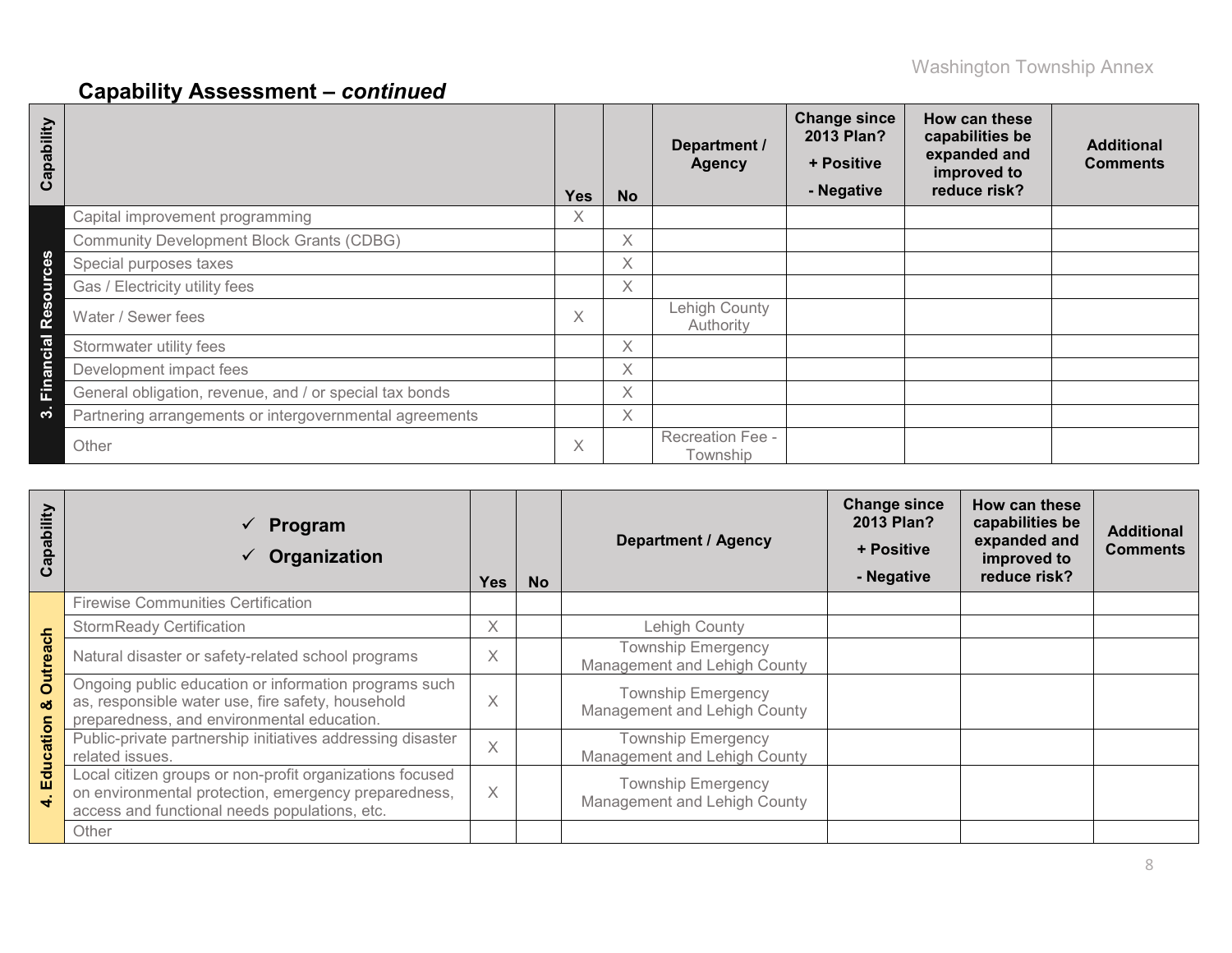| Capability             |                                                         | <b>Yes</b> | <b>No</b> | Department /<br><b>Agency</b> | <b>Change since</b><br>2013 Plan?<br>+ Positive<br>- Negative | How can these<br>capabilities be<br>expanded and<br>improved to<br>reduce risk? | <b>Additional</b><br><b>Comments</b> |
|------------------------|---------------------------------------------------------|------------|-----------|-------------------------------|---------------------------------------------------------------|---------------------------------------------------------------------------------|--------------------------------------|
|                        | Capital improvement programming                         | Х.         |           |                               |                                                               |                                                                                 |                                      |
|                        | <b>Community Development Block Grants (CDBG)</b>        |            | $\chi$    |                               |                                                               |                                                                                 |                                      |
| <b>S</b><br>$\ddot{g}$ | Special purposes taxes                                  |            | X.        |                               |                                                               |                                                                                 |                                      |
| $\overline{5}$         | Gas / Electricity utility fees                          |            | X.        |                               |                                                               |                                                                                 |                                      |
| Res                    | Water / Sewer fees                                      | X          |           | Lehigh County<br>Authority    |                                                               |                                                                                 |                                      |
| cial                   | Stormwater utility fees                                 |            | X.        |                               |                                                               |                                                                                 |                                      |
| <b>Finan</b>           | Development impact fees                                 |            | Χ         |                               |                                                               |                                                                                 |                                      |
|                        | General obligation, revenue, and / or special tax bonds |            | Χ         |                               |                                                               |                                                                                 |                                      |
| ო                      | Partnering arrangements or intergovernmental agreements |            | X         |                               |                                                               |                                                                                 |                                      |
|                        | Other                                                   | X          |           | Recreation Fee -<br>Township  |                                                               |                                                                                 |                                      |

| Capability         | $\checkmark$ Program<br>Organization                                                                                                                              | <b>Yes</b> | <b>No</b> | <b>Department / Agency</b>                                | <b>Change since</b><br>2013 Plan?<br>+ Positive<br>- Negative | How can these<br>capabilities be<br>expanded and<br>improved to<br>reduce risk? | <b>Additional</b><br><b>Comments</b> |
|--------------------|-------------------------------------------------------------------------------------------------------------------------------------------------------------------|------------|-----------|-----------------------------------------------------------|---------------------------------------------------------------|---------------------------------------------------------------------------------|--------------------------------------|
|                    | <b>Firewise Communities Certification</b>                                                                                                                         |            |           |                                                           |                                                               |                                                                                 |                                      |
| $\frac{1}{\sigma}$ | <b>StormReady Certification</b>                                                                                                                                   | X          |           | Lehigh County                                             |                                                               |                                                                                 |                                      |
|                    | Natural disaster or safety-related school programs                                                                                                                | X          |           | <b>Township Emergency</b><br>Management and Lehigh County |                                                               |                                                                                 |                                      |
| <b>Outrea</b><br>ఱ | Ongoing public education or information programs such<br>as, responsible water use, fire safety, household<br>preparedness, and environmental education.          | $\times$   |           | <b>Township Emergency</b><br>Management and Lehigh County |                                                               |                                                                                 |                                      |
| Education          | Public-private partnership initiatives addressing disaster<br>related issues.                                                                                     | $\times$   |           | <b>Township Emergency</b><br>Management and Lehigh County |                                                               |                                                                                 |                                      |
| ÷                  | Local citizen groups or non-profit organizations focused<br>on environmental protection, emergency preparedness,<br>access and functional needs populations, etc. | X          |           | <b>Township Emergency</b><br>Management and Lehigh County |                                                               |                                                                                 |                                      |
|                    | Other                                                                                                                                                             |            |           |                                                           |                                                               |                                                                                 |                                      |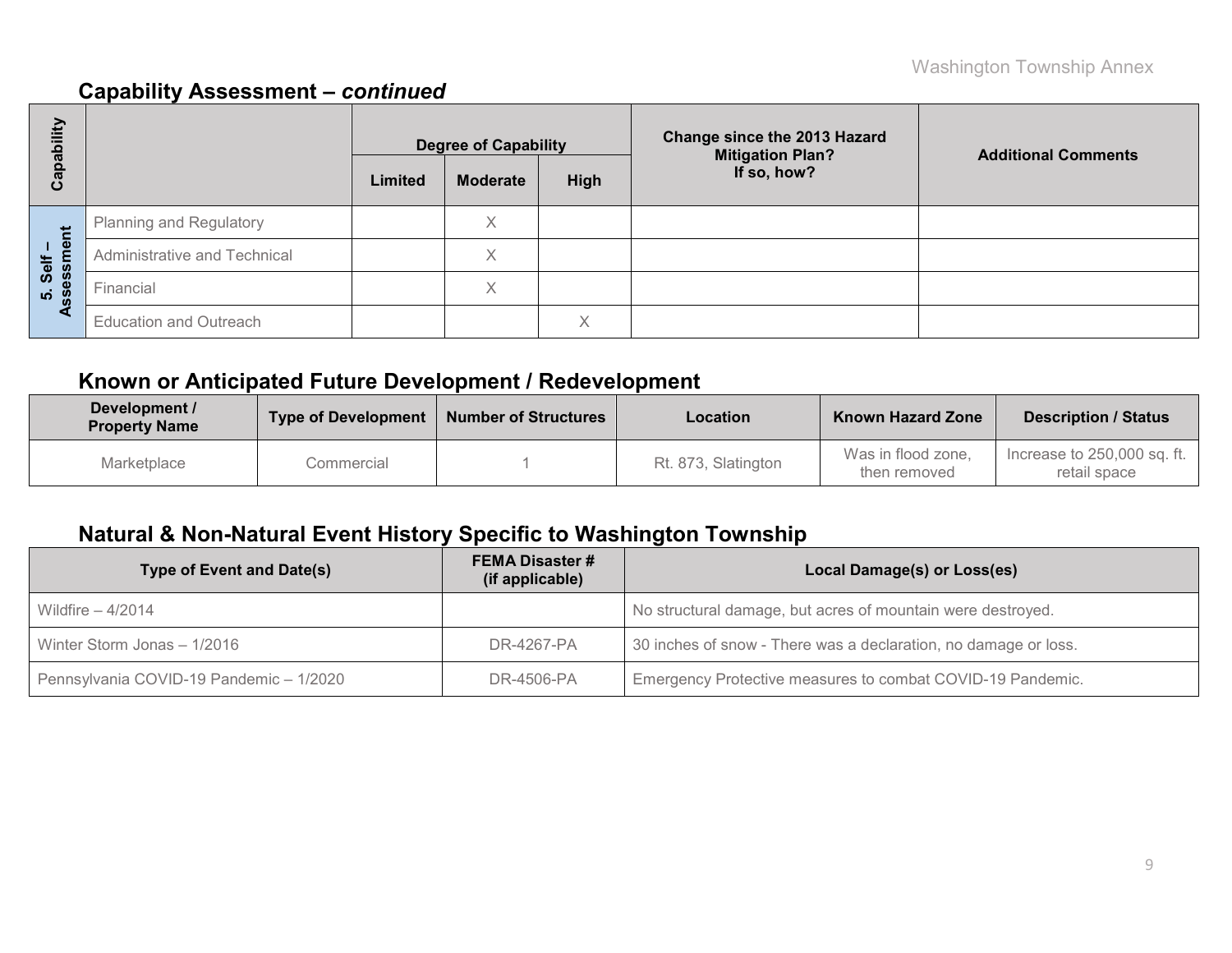| Capability                                |                               | <b>Degree of Capability</b> |                 | Change since the 2013 Hazard<br><b>Mitigation Plan?</b> | <b>Additional Comments</b> |  |  |
|-------------------------------------------|-------------------------------|-----------------------------|-----------------|---------------------------------------------------------|----------------------------|--|--|
|                                           |                               | Limited                     | <b>Moderate</b> | <b>High</b>                                             | If so, how?                |  |  |
|                                           | Planning and Regulatory       |                             | Χ               |                                                         |                            |  |  |
| ment<br>Self                              | Administrative and Technical  |                             | Χ               |                                                         |                            |  |  |
| 5. Sel<br><b>SS</b> essr<br><b>S</b><br>∢ | Financial                     |                             | X               |                                                         |                            |  |  |
|                                           | <b>Education and Outreach</b> |                             |                 | $\checkmark$                                            |                            |  |  |

# **Known or Anticipated Future Development / Redevelopment**

| Development /<br><b>Property Name</b> | <b>Type of Development</b> | <b>Number of Structures</b> | Location            | <b>Known Hazard Zone</b>           | <b>Description / Status</b>                 |
|---------------------------------------|----------------------------|-----------------------------|---------------------|------------------------------------|---------------------------------------------|
| Marketplace                           | Commercial                 |                             | Rt. 873, Slatington | Was in flood zone,<br>then removed | Increase to 250,000 sq. ft.<br>retail space |

# **Natural & Non-Natural Event History Specific to Washington Township**

| Type of Event and Date(s)               | <b>FEMA Disaster #</b><br>(if applicable) | Local Damage(s) or Loss(es)                                     |
|-----------------------------------------|-------------------------------------------|-----------------------------------------------------------------|
| Wildfire $-4/2014$                      |                                           | No structural damage, but acres of mountain were destroyed.     |
| Winter Storm Jonas - 1/2016             | DR-4267-PA                                | 30 inches of snow - There was a declaration, no damage or loss. |
| Pennsylvania COVID-19 Pandemic - 1/2020 | DR-4506-PA                                | Emergency Protective measures to combat COVID-19 Pandemic.      |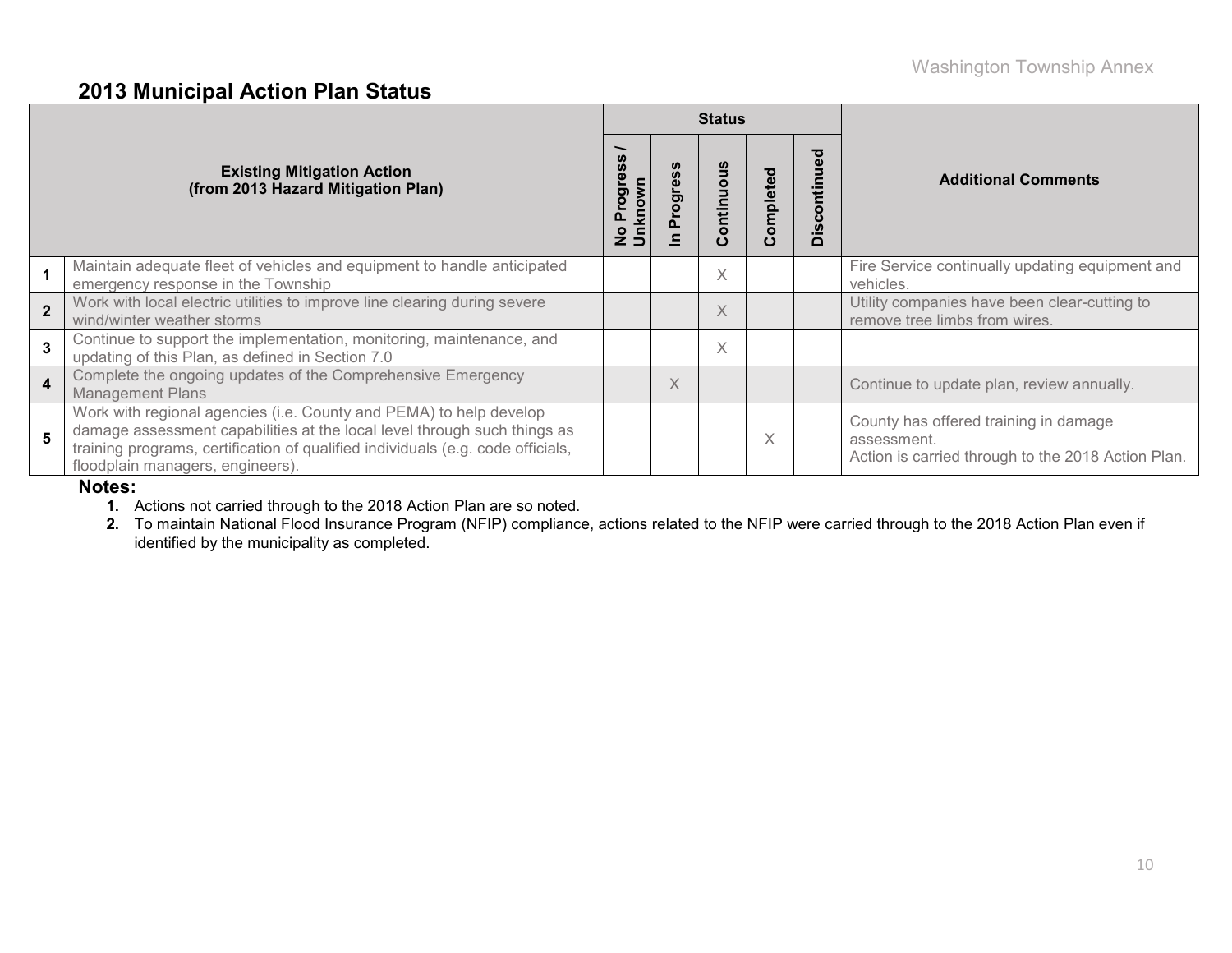### **2013 Municipal Action Plan Status**

|                |                                                                                                                                                                                                                                                                       |                                         |          | <b>Status</b>          |          |                     |                                                                                                            |
|----------------|-----------------------------------------------------------------------------------------------------------------------------------------------------------------------------------------------------------------------------------------------------------------------|-----------------------------------------|----------|------------------------|----------|---------------------|------------------------------------------------------------------------------------------------------------|
|                | <b>Existing Mitigation Action</b><br>(from 2013 Hazard Mitigation Plan)                                                                                                                                                                                               | <b>S</b><br>No Progre<br><b>Unknown</b> | Progres  | ontinuo<br>$\mathbf C$ | ompleted | ್ಠಾ<br>tinu<br>Disc | <b>Additional Comments</b>                                                                                 |
|                | Maintain adequate fleet of vehicles and equipment to handle anticipated<br>emergency response in the Township                                                                                                                                                         |                                         |          | $\times$               |          |                     | Fire Service continually updating equipment and<br>vehicles.                                               |
|                | Work with local electric utilities to improve line clearing during severe<br>wind/winter weather storms                                                                                                                                                               |                                         |          | X                      |          |                     | Utility companies have been clear-cutting to<br>remove tree limbs from wires.                              |
| $\overline{3}$ | Continue to support the implementation, monitoring, maintenance, and<br>updating of this Plan, as defined in Section 7.0                                                                                                                                              |                                         |          | $\times$               |          |                     |                                                                                                            |
| $\overline{4}$ | Complete the ongoing updates of the Comprehensive Emergency<br><b>Management Plans</b>                                                                                                                                                                                |                                         | $\times$ |                        |          |                     | Continue to update plan, review annually.                                                                  |
| 5              | Work with regional agencies (i.e. County and PEMA) to help develop<br>damage assessment capabilities at the local level through such things as<br>training programs, certification of qualified individuals (e.g. code officials,<br>floodplain managers, engineers). |                                         |          |                        | X        |                     | County has offered training in damage<br>assessment.<br>Action is carried through to the 2018 Action Plan. |

#### **Notes:**

**1.** Actions not carried through to the 2018 Action Plan are so noted.

**2.** To maintain National Flood Insurance Program (NFIP) compliance, actions related to the NFIP were carried through to the 2018 Action Plan even if identified by the municipality as completed.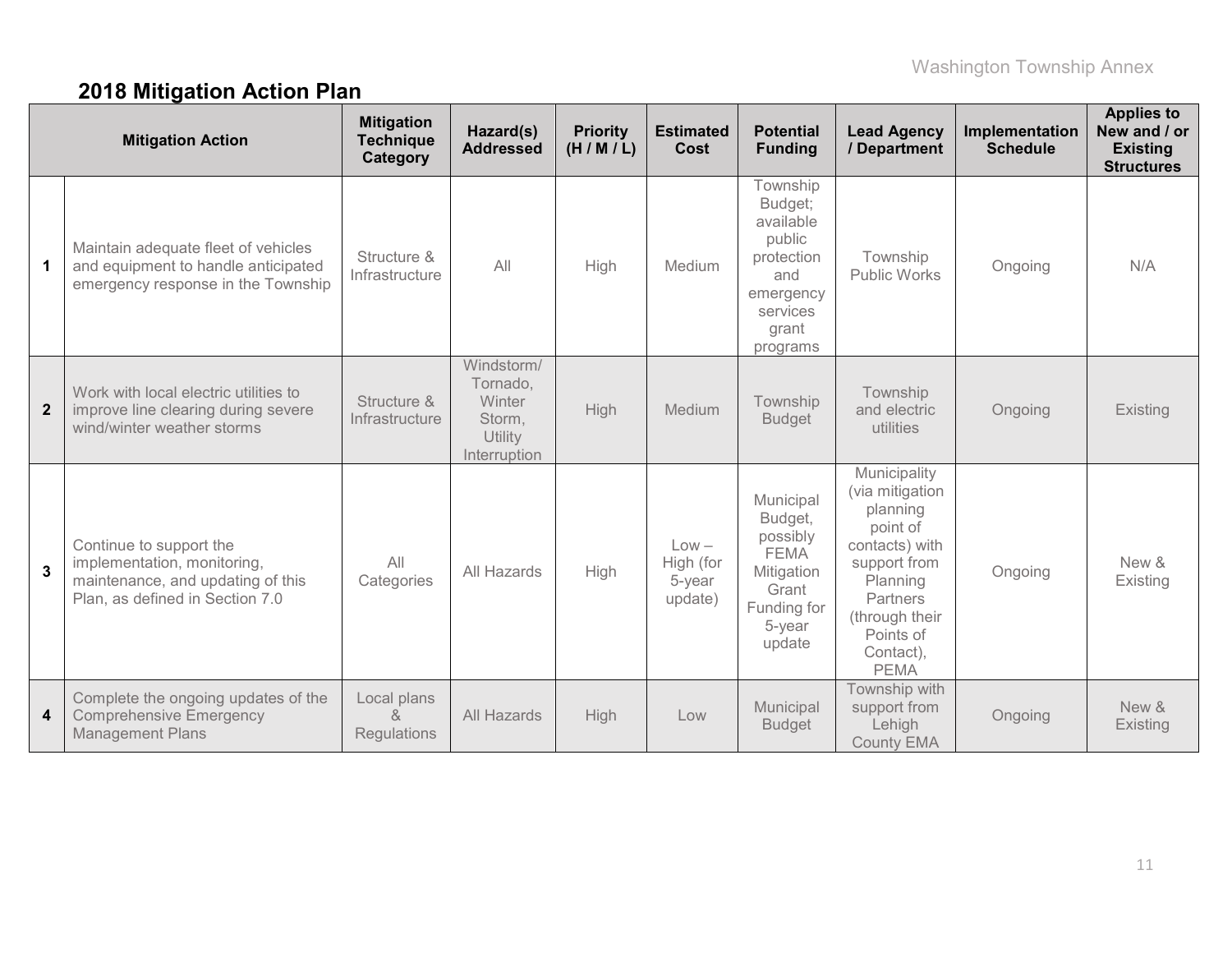# **2018 Mitigation Action Plan**

|                | <b>Mitigation Action</b>                                                                                                       | <b>Mitigation</b><br><b>Technique</b><br>Category | Hazard(s)<br><b>Addressed</b>                                         | <b>Priority</b><br>(H/M/L) | <b>Estimated</b><br>Cost                  | <b>Potential</b><br><b>Funding</b>                                                                            | <b>Lead Agency</b><br>/ Department                                                                                                                                                  | Implementation<br><b>Schedule</b> | <b>Applies to</b><br>New and / or<br><b>Existing</b><br><b>Structures</b> |
|----------------|--------------------------------------------------------------------------------------------------------------------------------|---------------------------------------------------|-----------------------------------------------------------------------|----------------------------|-------------------------------------------|---------------------------------------------------------------------------------------------------------------|-------------------------------------------------------------------------------------------------------------------------------------------------------------------------------------|-----------------------------------|---------------------------------------------------------------------------|
| $\mathbf 1$    | Maintain adequate fleet of vehicles<br>and equipment to handle anticipated<br>emergency response in the Township               | Structure &<br>Infrastructure                     | All                                                                   | High                       | Medium                                    | Township<br>Budget;<br>available<br>public<br>protection<br>and<br>emergency<br>services<br>grant<br>programs | Township<br>Public Works                                                                                                                                                            | Ongoing                           | N/A                                                                       |
| $\overline{2}$ | Work with local electric utilities to<br>improve line clearing during severe<br>wind/winter weather storms                     | Structure &<br>Infrastructure                     | Windstorm/<br>Tornado,<br>Winter<br>Storm,<br>Utility<br>Interruption | High                       | Medium                                    | Township<br><b>Budget</b>                                                                                     | Township<br>and electric<br>utilities                                                                                                                                               | Ongoing                           | Existing                                                                  |
| $\mathbf{3}$   | Continue to support the<br>implementation, monitoring,<br>maintenance, and updating of this<br>Plan, as defined in Section 7.0 | All<br>Categories                                 | All Hazards                                                           | High                       | $Low -$<br>High (for<br>5-year<br>update) | Municipal<br>Budget,<br>possibly<br><b>FEMA</b><br>Mitigation<br>Grant<br>Funding for<br>5-year<br>update     | Municipality<br>(via mitigation<br>planning<br>point of<br>contacts) with<br>support from<br>Planning<br><b>Partners</b><br>(through their<br>Points of<br>Contact),<br><b>PEMA</b> | Ongoing                           | New &<br>Existing                                                         |
| 4              | Complete the ongoing updates of the<br><b>Comprehensive Emergency</b><br><b>Management Plans</b>                               | Local plans<br>$\alpha$<br><b>Regulations</b>     | All Hazards                                                           | High                       | Low                                       | Municipal<br><b>Budget</b>                                                                                    | Township with<br>support from<br>Lehigh<br><b>County EMA</b>                                                                                                                        | Ongoing                           | New &<br>Existing                                                         |